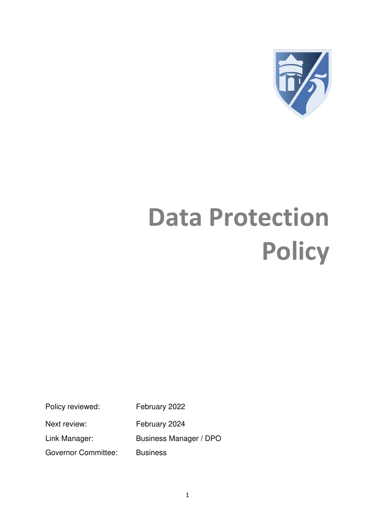

# **Data Protection Policy**

Policy reviewed: February 2022

Next review: February 2024

Link Manager: Business Manager / DPO

Governor Committee: Business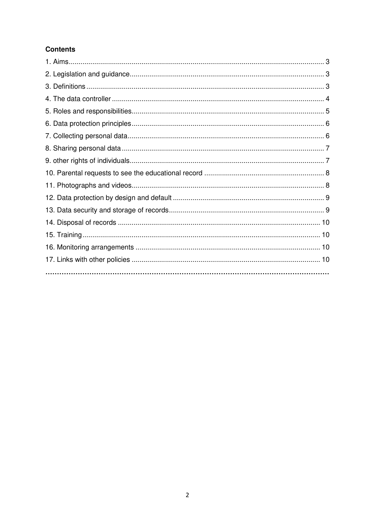# **Contents**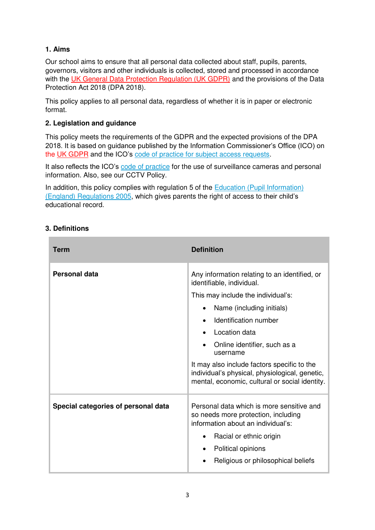## **1. Aims**

Our school aims to ensure that all personal data collected about staff, pupils, parents, governors, visitors and other individuals is collected, stored and processed in accordance with the [UK General Data Protection Regulation \(UK GDPR\)](https://ico.org.uk/for-organisations/guide-to-data-protection/guide-to-the-general-data-protection-regulation-gdpr/) and the provisions of the Data Protection Act 2018 (DPA 2018).

This policy applies to all personal data, regardless of whether it is in paper or electronic format.

## **2. Legislation and guidance**

This policy meets the requirements of the GDPR and the expected provisions of the DPA 2018. It is based on guidance published by the Information Commissioner's Office (ICO) on the [UK GDPR](https://ico.org.uk/for-organisations/guide-to-data-protection/guide-to-the-general-data-protection-regulation-gdpr/) and the ICO's [code of practice for subject access requests.](https://ico.org.uk/media/for-organisations/documents/2014223/subject-access-code-of-practice.pdf)

It also reflects the ICO's [code of practice](https://ico.org.uk/media/for-organisations/documents/1542/cctv-code-of-practice.pdf) for the use of surveillance cameras and personal information. Also, see our CCTV Policy.

In addition, this policy complies with regulation 5 of the  $Eductation$  (Pupil Information) [\(England\) Regulations 2005,](http://www.legislation.gov.uk/uksi/2005/1437/regulation/5/made) which gives parents the right of access to their child's educational record.

## **3. Definitions**

| <b>Term</b>                         | <b>Definition</b>                                                                                                                               |
|-------------------------------------|-------------------------------------------------------------------------------------------------------------------------------------------------|
| <b>Personal data</b>                | Any information relating to an identified, or<br>identifiable, individual.                                                                      |
|                                     | This may include the individual's:                                                                                                              |
|                                     | Name (including initials)                                                                                                                       |
|                                     | Identification number                                                                                                                           |
|                                     | Location data                                                                                                                                   |
|                                     | Online identifier, such as a<br>username                                                                                                        |
|                                     | It may also include factors specific to the<br>individual's physical, physiological, genetic,<br>mental, economic, cultural or social identity. |
| Special categories of personal data | Personal data which is more sensitive and<br>so needs more protection, including<br>information about an individual's:                          |
|                                     | Racial or ethnic origin                                                                                                                         |
|                                     | Political opinions                                                                                                                              |
|                                     | Religious or philosophical beliefs                                                                                                              |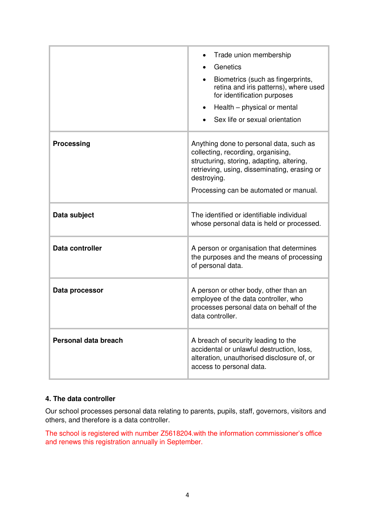|                      | Trade union membership<br>Genetics<br>Biometrics (such as fingerprints,<br>retina and iris patterns), where used<br>for identification purposes<br>Health – physical or mental<br>$\bullet$<br>Sex life or sexual orientation       |
|----------------------|-------------------------------------------------------------------------------------------------------------------------------------------------------------------------------------------------------------------------------------|
| <b>Processing</b>    | Anything done to personal data, such as<br>collecting, recording, organising,<br>structuring, storing, adapting, altering,<br>retrieving, using, disseminating, erasing or<br>destroying.<br>Processing can be automated or manual. |
| Data subject         | The identified or identifiable individual<br>whose personal data is held or processed.                                                                                                                                              |
| Data controller      | A person or organisation that determines<br>the purposes and the means of processing<br>of personal data.                                                                                                                           |
| Data processor       | A person or other body, other than an<br>employee of the data controller, who<br>processes personal data on behalf of the<br>data controller.                                                                                       |
| Personal data breach | A breach of security leading to the<br>accidental or unlawful destruction, loss,<br>alteration, unauthorised disclosure of, or<br>access to personal data.                                                                          |

## **4. The data controller**

Our school processes personal data relating to parents, pupils, staff, governors, visitors and others, and therefore is a data controller.

The school is registered with number Z5618204.with the information commissioner's office and renews this registration annually in September.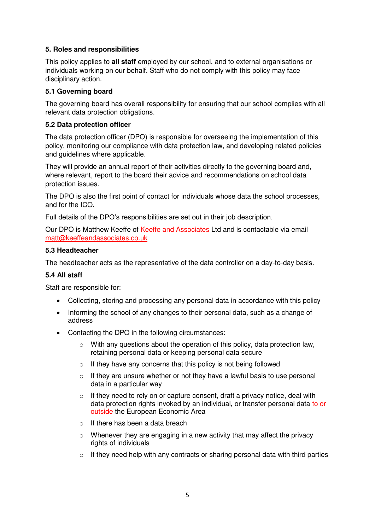#### **5. Roles and responsibilities**

This policy applies to **all staff** employed by our school, and to external organisations or individuals working on our behalf. Staff who do not comply with this policy may face disciplinary action.

#### **5.1 Governing board**

The governing board has overall responsibility for ensuring that our school complies with all relevant data protection obligations.

#### **5.2 Data protection officer**

The data protection officer (DPO) is responsible for overseeing the implementation of this policy, monitoring our compliance with data protection law, and developing related policies and guidelines where applicable.

They will provide an annual report of their activities directly to the governing board and, where relevant, report to the board their advice and recommendations on school data protection issues.

The DPO is also the first point of contact for individuals whose data the school processes, and for the ICO.

Full details of the DPO's responsibilities are set out in their job description.

Our DPO is Matthew Keeffe of Keeffe and Associates Ltd and is contactable via email [matt@keeffeandassociates.co.uk](mailto:matt@keeffeandassociates.co.uk) 

#### **5.3 Headteacher**

The headteacher acts as the representative of the data controller on a day-to-day basis.

#### **5.4 All staff**

Staff are responsible for:

- Collecting, storing and processing any personal data in accordance with this policy
- Informing the school of any changes to their personal data, such as a change of address
- Contacting the DPO in the following circumstances:
	- $\circ$  With any questions about the operation of this policy, data protection law, retaining personal data or keeping personal data secure
	- $\circ$  If they have any concerns that this policy is not being followed
	- $\circ$  If they are unsure whether or not they have a lawful basis to use personal data in a particular way
	- $\circ$  If they need to rely on or capture consent, draft a privacy notice, deal with data protection rights invoked by an individual, or transfer personal data to or outside the European Economic Area
	- o If there has been a data breach
	- $\circ$  Whenever they are engaging in a new activity that may affect the privacy rights of individuals
	- $\circ$  If they need help with any contracts or sharing personal data with third parties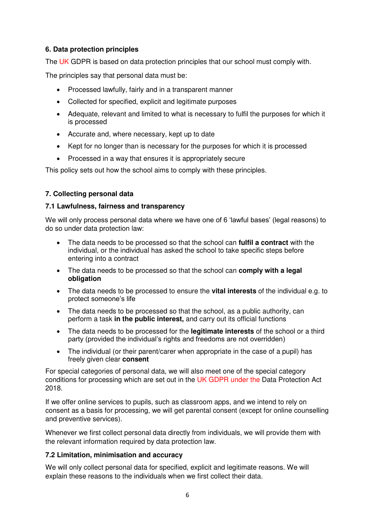## **6. Data protection principles**

The UK GDPR is based on data protection principles that our school must comply with.

The principles say that personal data must be:

- Processed lawfully, fairly and in a transparent manner
- Collected for specified, explicit and legitimate purposes
- Adequate, relevant and limited to what is necessary to fulfil the purposes for which it is processed
- Accurate and, where necessary, kept up to date
- Kept for no longer than is necessary for the purposes for which it is processed
- Processed in a way that ensures it is appropriately secure

This policy sets out how the school aims to comply with these principles.

## **7. Collecting personal data**

## **7.1 Lawfulness, fairness and transparency**

We will only process personal data where we have one of 6 'lawful bases' (legal reasons) to do so under data protection law:

- The data needs to be processed so that the school can **fulfil a contract** with the individual, or the individual has asked the school to take specific steps before entering into a contract
- The data needs to be processed so that the school can **comply with a legal obligation**
- The data needs to be processed to ensure the **vital interests** of the individual e.g. to protect someone's life
- The data needs to be processed so that the school, as a public authority, can perform a task **in the public interest,** and carry out its official functions
- The data needs to be processed for the **legitimate interests** of the school or a third party (provided the individual's rights and freedoms are not overridden)
- The individual (or their parent/carer when appropriate in the case of a pupil) has freely given clear **consent**

For special categories of personal data, we will also meet one of the special category conditions for processing which are set out in the UK GDPR under the Data Protection Act 2018.

If we offer online services to pupils, such as classroom apps, and we intend to rely on consent as a basis for processing, we will get parental consent (except for online counselling and preventive services).

Whenever we first collect personal data directly from individuals, we will provide them with the relevant information required by data protection law.

## **7.2 Limitation, minimisation and accuracy**

We will only collect personal data for specified, explicit and legitimate reasons. We will explain these reasons to the individuals when we first collect their data.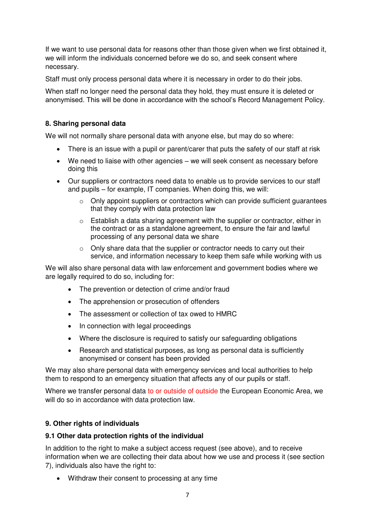If we want to use personal data for reasons other than those given when we first obtained it, we will inform the individuals concerned before we do so, and seek consent where necessary.

Staff must only process personal data where it is necessary in order to do their jobs.

When staff no longer need the personal data they hold, they must ensure it is deleted or anonymised. This will be done in accordance with the school's Record Management Policy.

## **8. Sharing personal data**

We will not normally share personal data with anyone else, but may do so where:

- There is an issue with a pupil or parent/carer that puts the safety of our staff at risk
- We need to liaise with other agencies we will seek consent as necessary before doing this
- Our suppliers or contractors need data to enable us to provide services to our staff and pupils – for example, IT companies. When doing this, we will:
	- $\circ$  Only appoint suppliers or contractors which can provide sufficient quarantees that they comply with data protection law
	- $\circ$  Establish a data sharing agreement with the supplier or contractor, either in the contract or as a standalone agreement, to ensure the fair and lawful processing of any personal data we share
	- o Only share data that the supplier or contractor needs to carry out their service, and information necessary to keep them safe while working with us

We will also share personal data with law enforcement and government bodies where we are legally required to do so, including for:

- The prevention or detection of crime and/or fraud
- The apprehension or prosecution of offenders
- The assessment or collection of tax owed to HMRC
- In connection with legal proceedings
- Where the disclosure is required to satisfy our safeguarding obligations
- Research and statistical purposes, as long as personal data is sufficiently anonymised or consent has been provided

We may also share personal data with emergency services and local authorities to help them to respond to an emergency situation that affects any of our pupils or staff.

Where we transfer personal data to or outside of outside the European Economic Area, we will do so in accordance with data protection law.

## **9. Other rights of individuals**

#### **9.1 Other data protection rights of the individual**

In addition to the right to make a subject access request (see above), and to receive information when we are collecting their data about how we use and process it (see section 7), individuals also have the right to:

Withdraw their consent to processing at any time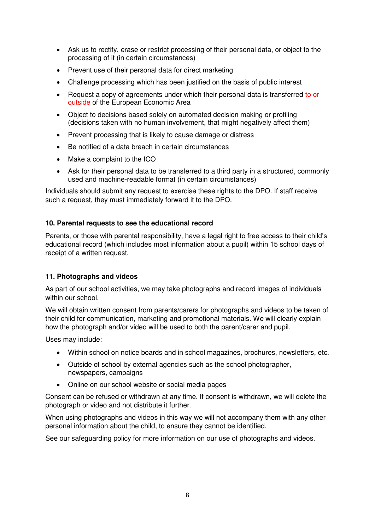- Ask us to rectify, erase or restrict processing of their personal data, or object to the processing of it (in certain circumstances)
- Prevent use of their personal data for direct marketing
- Challenge processing which has been justified on the basis of public interest
- Request a copy of agreements under which their personal data is transferred to or outside of the European Economic Area
- Object to decisions based solely on automated decision making or profiling (decisions taken with no human involvement, that might negatively affect them)
- Prevent processing that is likely to cause damage or distress
- Be notified of a data breach in certain circumstances
- Make a complaint to the ICO
- Ask for their personal data to be transferred to a third party in a structured, commonly used and machine-readable format (in certain circumstances)

Individuals should submit any request to exercise these rights to the DPO. If staff receive such a request, they must immediately forward it to the DPO.

## **10. Parental requests to see the educational record**

Parents, or those with parental responsibility, have a legal right to free access to their child's educational record (which includes most information about a pupil) within 15 school days of receipt of a written request.

#### **11. Photographs and videos**

As part of our school activities, we may take photographs and record images of individuals within our school.

We will obtain written consent from parents/carers for photographs and videos to be taken of their child for communication, marketing and promotional materials. We will clearly explain how the photograph and/or video will be used to both the parent/carer and pupil.

Uses may include:

- Within school on notice boards and in school magazines, brochures, newsletters, etc.
- Outside of school by external agencies such as the school photographer, newspapers, campaigns
- Online on our school website or social media pages

Consent can be refused or withdrawn at any time. If consent is withdrawn, we will delete the photograph or video and not distribute it further.

When using photographs and videos in this way we will not accompany them with any other personal information about the child, to ensure they cannot be identified.

See our safeguarding policy for more information on our use of photographs and videos.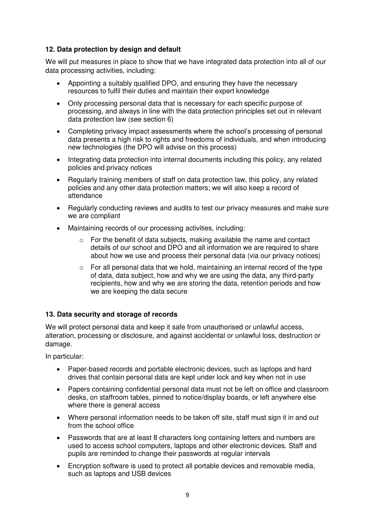## **12. Data protection by design and default**

We will put measures in place to show that we have integrated data protection into all of our data processing activities, including:

- Appointing a suitably qualified DPO, and ensuring they have the necessary resources to fulfil their duties and maintain their expert knowledge
- Only processing personal data that is necessary for each specific purpose of processing, and always in line with the data protection principles set out in relevant data protection law (see section 6)
- Completing privacy impact assessments where the school's processing of personal data presents a high risk to rights and freedoms of individuals, and when introducing new technologies (the DPO will advise on this process)
- Integrating data protection into internal documents including this policy, any related policies and privacy notices
- Regularly training members of staff on data protection law, this policy, any related policies and any other data protection matters; we will also keep a record of attendance
- Regularly conducting reviews and audits to test our privacy measures and make sure we are compliant
- Maintaining records of our processing activities, including:
	- o For the benefit of data subjects, making available the name and contact details of our school and DPO and all information we are required to share about how we use and process their personal data (via our privacy notices)
	- $\circ$  For all personal data that we hold, maintaining an internal record of the type of data, data subject, how and why we are using the data, any third-party recipients, how and why we are storing the data, retention periods and how we are keeping the data secure

## **13. Data security and storage of records**

We will protect personal data and keep it safe from unauthorised or unlawful access, alteration, processing or disclosure, and against accidental or unlawful loss, destruction or damage.

In particular:

- Paper-based records and portable electronic devices, such as laptops and hard drives that contain personal data are kept under lock and key when not in use
- Papers containing confidential personal data must not be left on office and classroom desks, on staffroom tables, pinned to notice/display boards, or left anywhere else where there is general access
- Where personal information needs to be taken off site, staff must sign it in and out from the school office
- Passwords that are at least 8 characters long containing letters and numbers are used to access school computers, laptops and other electronic devices. Staff and pupils are reminded to change their passwords at regular intervals
- Encryption software is used to protect all portable devices and removable media, such as laptops and USB devices